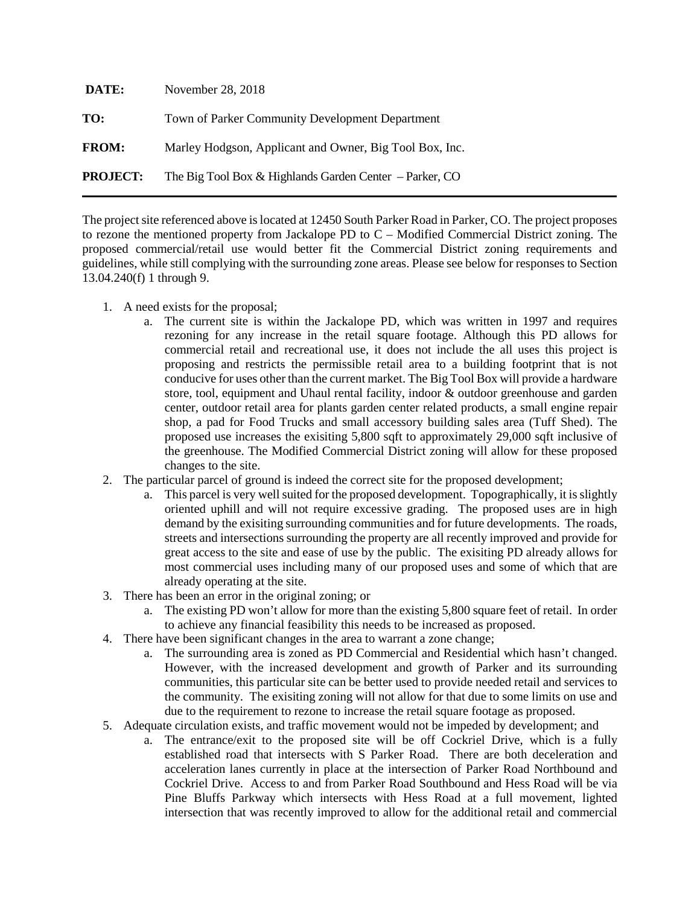| DATE:           | November 28, 2018                                         |
|-----------------|-----------------------------------------------------------|
| TO:             | Town of Parker Community Development Department           |
| <b>FROM:</b>    | Marley Hodgson, Applicant and Owner, Big Tool Box, Inc.   |
| <b>PROJECT:</b> | The Big Tool Box & Highlands Garden Center $-$ Parker, CO |

The project site referenced above is located at 12450 South Parker Road in Parker, CO. The project proposes to rezone the mentioned property from Jackalope PD to C – Modified Commercial District zoning. The proposed commercial/retail use would better fit the Commercial District zoning requirements and guidelines, while still complying with the surrounding zone areas. Please see below for responses to Section 13.04.240(f) 1 through 9.

- 1. A need exists for the proposal;
	- a. The current site is within the Jackalope PD, which was written in 1997 and requires rezoning for any increase in the retail square footage. Although this PD allows for commercial retail and recreational use, it does not include the all uses this project is proposing and restricts the permissible retail area to a building footprint that is not conducive for uses other than the current market. The Big Tool Box will provide a hardware store, tool, equipment and Uhaul rental facility, indoor & outdoor greenhouse and garden center, outdoor retail area for plants garden center related products, a small engine repair shop, a pad for Food Trucks and small accessory building sales area (Tuff Shed). The proposed use increases the exisiting 5,800 sqft to approximately 29,000 sqft inclusive of the greenhouse. The Modified Commercial District zoning will allow for these proposed changes to the site.
- 2. The particular parcel of ground is indeed the correct site for the proposed development;
	- a. This parcel is very well suited for the proposed development. Topographically, it is slightly oriented uphill and will not require excessive grading. The proposed uses are in high demand by the exisiting surrounding communities and for future developments. The roads, streets and intersections surrounding the property are all recently improved and provide for great access to the site and ease of use by the public. The exisiting PD already allows for most commercial uses including many of our proposed uses and some of which that are already operating at the site.
- 3. There has been an error in the original zoning; or
	- a. The existing PD won't allow for more than the existing 5,800 square feet of retail. In order to achieve any financial feasibility this needs to be increased as proposed.
- 4. There have been significant changes in the area to warrant a zone change;
	- a. The surrounding area is zoned as PD Commercial and Residential which hasn't changed. However, with the increased development and growth of Parker and its surrounding communities, this particular site can be better used to provide needed retail and services to the community. The exisiting zoning will not allow for that due to some limits on use and due to the requirement to rezone to increase the retail square footage as proposed.
- 5. Adequate circulation exists, and traffic movement would not be impeded by development; and
	- a. The entrance/exit to the proposed site will be off Cockriel Drive, which is a fully established road that intersects with S Parker Road. There are both deceleration and acceleration lanes currently in place at the intersection of Parker Road Northbound and Cockriel Drive. Access to and from Parker Road Southbound and Hess Road will be via Pine Bluffs Parkway which intersects with Hess Road at a full movement, lighted intersection that was recently improved to allow for the additional retail and commercial